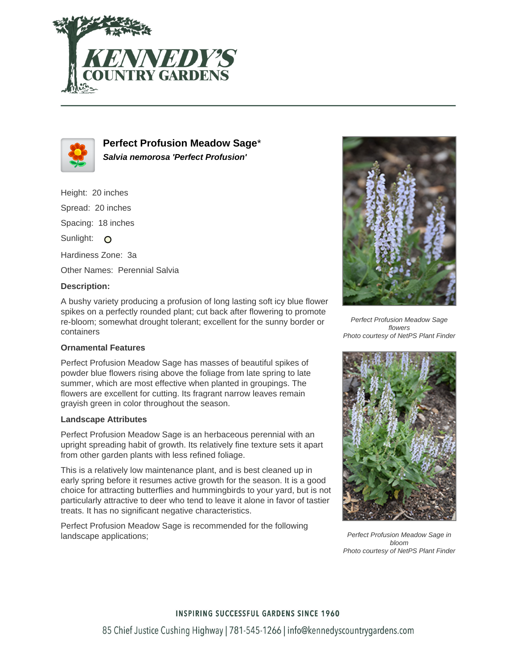



**Perfect Profusion Meadow Sage**\* **Salvia nemorosa 'Perfect Profusion'**

Height: 20 inches Spread: 20 inches Spacing: 18 inches Sunlight: O Hardiness Zone: 3a Other Names: Perennial Salvia **Description:**

A bushy variety producing a profusion of long lasting soft icy blue flower spikes on a perfectly rounded plant; cut back after flowering to promote re-bloom; somewhat drought tolerant; excellent for the sunny border or containers

## **Ornamental Features**

Perfect Profusion Meadow Sage has masses of beautiful spikes of powder blue flowers rising above the foliage from late spring to late summer, which are most effective when planted in groupings. The flowers are excellent for cutting. Its fragrant narrow leaves remain grayish green in color throughout the season.

## **Landscape Attributes**

Perfect Profusion Meadow Sage is an herbaceous perennial with an upright spreading habit of growth. Its relatively fine texture sets it apart from other garden plants with less refined foliage.

This is a relatively low maintenance plant, and is best cleaned up in early spring before it resumes active growth for the season. It is a good choice for attracting butterflies and hummingbirds to your yard, but is not particularly attractive to deer who tend to leave it alone in favor of tastier treats. It has no significant negative characteristics.

Perfect Profusion Meadow Sage is recommended for the following landscape applications;



Perfect Profusion Meadow Sage flowers Photo courtesy of NetPS Plant Finder



Perfect Profusion Meadow Sage in bloom Photo courtesy of NetPS Plant Finder

**INSPIRING SUCCESSFUL GARDENS SINCE 1960** 85 Chief Justice Cushing Highway | 781-545-1266 | info@kennedyscountrygardens.com